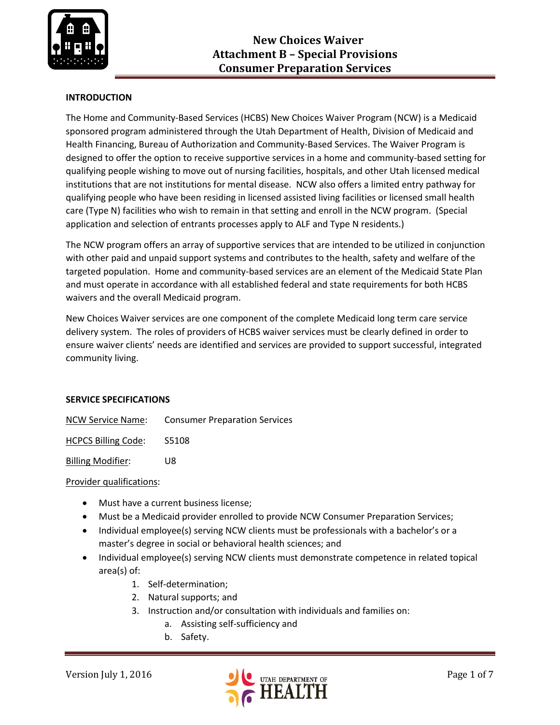

# **INTRODUCTION**

The Home and Community-Based Services (HCBS) New Choices Waiver Program (NCW) is a Medicaid sponsored program administered through the Utah Department of Health, Division of Medicaid and Health Financing, Bureau of Authorization and Community-Based Services. The Waiver Program is designed to offer the option to receive supportive services in a home and community-based setting for qualifying people wishing to move out of nursing facilities, hospitals, and other Utah licensed medical institutions that are not institutions for mental disease. NCW also offers a limited entry pathway for qualifying people who have been residing in licensed assisted living facilities or licensed small health care (Type N) facilities who wish to remain in that setting and enroll in the NCW program. (Special application and selection of entrants processes apply to ALF and Type N residents.)

The NCW program offers an array of supportive services that are intended to be utilized in conjunction with other paid and unpaid support systems and contributes to the health, safety and welfare of the targeted population. Home and community-based services are an element of the Medicaid State Plan and must operate in accordance with all established federal and state requirements for both HCBS waivers and the overall Medicaid program.

New Choices Waiver services are one component of the complete Medicaid long term care service delivery system. The roles of providers of HCBS waiver services must be clearly defined in order to ensure waiver clients' needs are identified and services are provided to support successful, integrated community living.

### **SERVICE SPECIFICATIONS**

NCW Service Name: Consumer Preparation Services

HCPCS Billing Code: S5108

Billing Modifier: U8

### Provider qualifications:

- Must have a current business license;
- Must be a Medicaid provider enrolled to provide NCW Consumer Preparation Services;
- Individual employee(s) serving NCW clients must be professionals with a bachelor's or a master's degree in social or behavioral health sciences; and
- Individual employee(s) serving NCW clients must demonstrate competence in related topical area(s) of:
	- 1. Self-determination;
	- 2. Natural supports; and
	- 3. Instruction and/or consultation with individuals and families on:
		- a. Assisting self-sufficiency and
		- b. Safety.

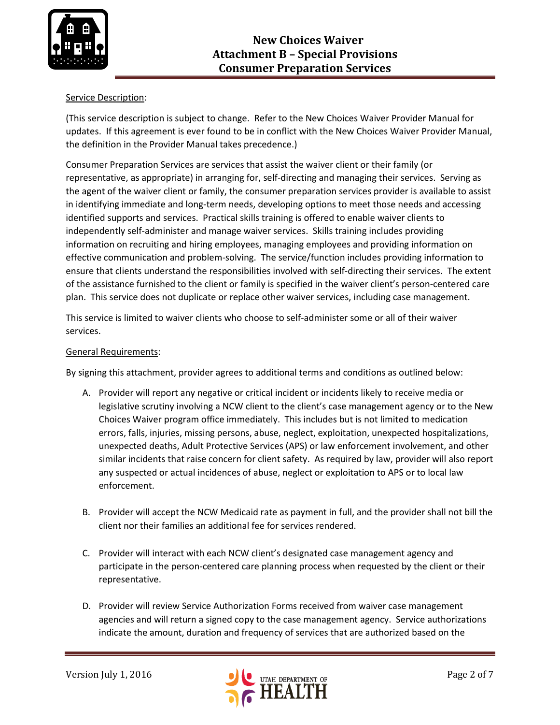

## Service Description:

(This service description is subject to change. Refer to the New Choices Waiver Provider Manual for updates. If this agreement is ever found to be in conflict with the New Choices Waiver Provider Manual, the definition in the Provider Manual takes precedence.)

Consumer Preparation Services are services that assist the waiver client or their family (or representative, as appropriate) in arranging for, self-directing and managing their services. Serving as the agent of the waiver client or family, the consumer preparation services provider is available to assist in identifying immediate and long-term needs, developing options to meet those needs and accessing identified supports and services. Practical skills training is offered to enable waiver clients to independently self-administer and manage waiver services. Skills training includes providing information on recruiting and hiring employees, managing employees and providing information on effective communication and problem-solving. The service/function includes providing information to ensure that clients understand the responsibilities involved with self-directing their services. The extent of the assistance furnished to the client or family is specified in the waiver client's person-centered care plan. This service does not duplicate or replace other waiver services, including case management.

This service is limited to waiver clients who choose to self-administer some or all of their waiver services.

## General Requirements:

By signing this attachment, provider agrees to additional terms and conditions as outlined below:

- A. Provider will report any negative or critical incident or incidents likely to receive media or legislative scrutiny involving a NCW client to the client's case management agency or to the New Choices Waiver program office immediately. This includes but is not limited to medication errors, falls, injuries, missing persons, abuse, neglect, exploitation, unexpected hospitalizations, unexpected deaths, Adult Protective Services (APS) or law enforcement involvement, and other similar incidents that raise concern for client safety. As required by law, provider will also report any suspected or actual incidences of abuse, neglect or exploitation to APS or to local law enforcement.
- B. Provider will accept the NCW Medicaid rate as payment in full, and the provider shall not bill the client nor their families an additional fee for services rendered.
- C. Provider will interact with each NCW client's designated case management agency and participate in the person-centered care planning process when requested by the client or their representative.
- D. Provider will review Service Authorization Forms received from waiver case management agencies and will return a signed copy to the case management agency. Service authorizations indicate the amount, duration and frequency of services that are authorized based on the

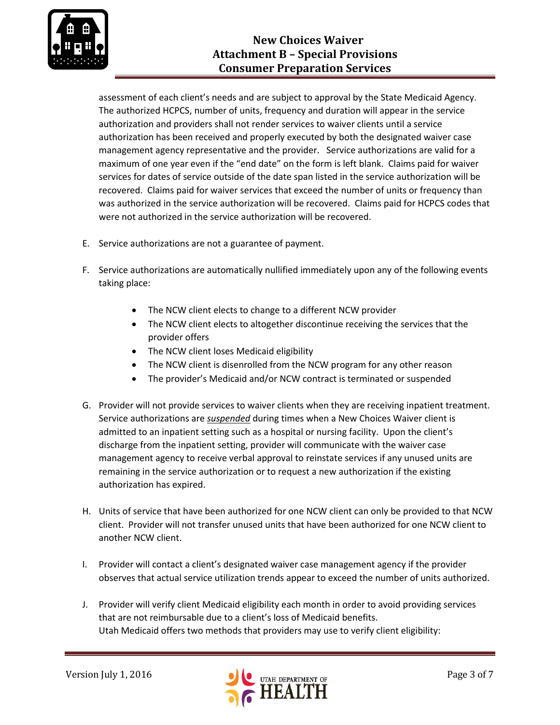

assessment of each client's needs and are subject to approval by the State Medicaid Agency. The authorized HCPCS, number of units, frequency and duration will appear in the service authorization and providers shall not render services to waiver clients until a service authorization has been received and properly executed by both the designated waiver case management agency representative and the provider. Service authorizations are valid for a maximum of one year even if the "end date" on the form is left blank. Claims paid for waiver services for dates of service outside of the date span listed in the service authorization will be recovered. Claims paid for waiver services that exceed the number of units or frequency than was authorized in the service authorization will be recovered. Claims paid for HCPCS codes that were not authorized in the service authorization will be recovered.

- E. Service authorizations are not a guarantee of payment.
- F. Service authorizations are automatically nullified immediately upon any of the following events taking place:
	- The NCW client elects to change to a different NCW provider
	- The NCW client elects to altogether discontinue receiving the services that the provider offers
	- The NCW client loses Medicaid eligibility
	- The NCW client is disenrolled from the NCW program for any other reason
	- The provider's Medicaid and/or NCW contract is terminated or suspended
- G. Provider will not provide services to waiver clients when they are receiving inpatient treatment. Service authorizations are *suspended* during times when a New Choices Waiver client is admitted to an inpatient setting such as a hospital or nursing facility. Upon the client's discharge from the inpatient setting, provider will communicate with the waiver case management agency to receive verbal approval to reinstate services if any unused units are remaining in the service authorization or to request a new authorization if the existing authorization has expired.
- H. Units of service that have been authorized for one NCW client can only be provided to that NCW client. Provider will not transfer unused units that have been authorized for one NCW client to another NCW client.
- I. Provider will contact a client's designated waiver case management agency if the provider observes that actual service utilization trends appear to exceed the number of units authorized.
- J. Provider will verify client Medicaid eligibility each month in order to avoid providing services that are not reimbursable due to a client's loss of Medicaid benefits. Utah Medicaid offers two methods that providers may use to verify client eligibility:

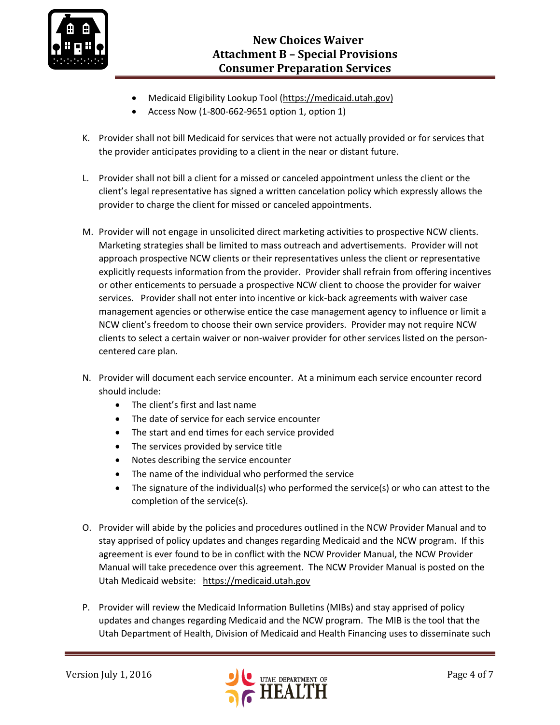

- Medicaid Eligibility Lookup Tool [\(https://medicaid.utah.gov\)](https://medicaid.utah.gov/)
- Access Now (1-800-662-9651 option 1, option 1)
- K. Provider shall not bill Medicaid for services that were not actually provided or for services that the provider anticipates providing to a client in the near or distant future.
- L. Provider shall not bill a client for a missed or canceled appointment unless the client or the client's legal representative has signed a written cancelation policy which expressly allows the provider to charge the client for missed or canceled appointments.
- M. Provider will not engage in unsolicited direct marketing activities to prospective NCW clients. Marketing strategies shall be limited to mass outreach and advertisements. Provider will not approach prospective NCW clients or their representatives unless the client or representative explicitly requests information from the provider. Provider shall refrain from offering incentives or other enticements to persuade a prospective NCW client to choose the provider for waiver services. Provider shall not enter into incentive or kick-back agreements with waiver case management agencies or otherwise entice the case management agency to influence or limit a NCW client's freedom to choose their own service providers. Provider may not require NCW clients to select a certain waiver or non-waiver provider for other services listed on the personcentered care plan.
- N. Provider will document each service encounter. At a minimum each service encounter record should include:
	- The client's first and last name
	- The date of service for each service encounter
	- The start and end times for each service provided
	- The services provided by service title
	- Notes describing the service encounter
	- The name of the individual who performed the service
	- $\bullet$  The signature of the individual(s) who performed the service(s) or who can attest to the completion of the service(s).
- O. Provider will abide by the policies and procedures outlined in the NCW Provider Manual and to stay apprised of policy updates and changes regarding Medicaid and the NCW program. If this agreement is ever found to be in conflict with the NCW Provider Manual, the NCW Provider Manual will take precedence over this agreement. The NCW Provider Manual is posted on the Utah Medicaid website: [https://medicaid.utah.gov](https://medicaid.utah.gov/)
- P. Provider will review the Medicaid Information Bulletins (MIBs) and stay apprised of policy updates and changes regarding Medicaid and the NCW program. The MIB is the tool that the Utah Department of Health, Division of Medicaid and Health Financing uses to disseminate such

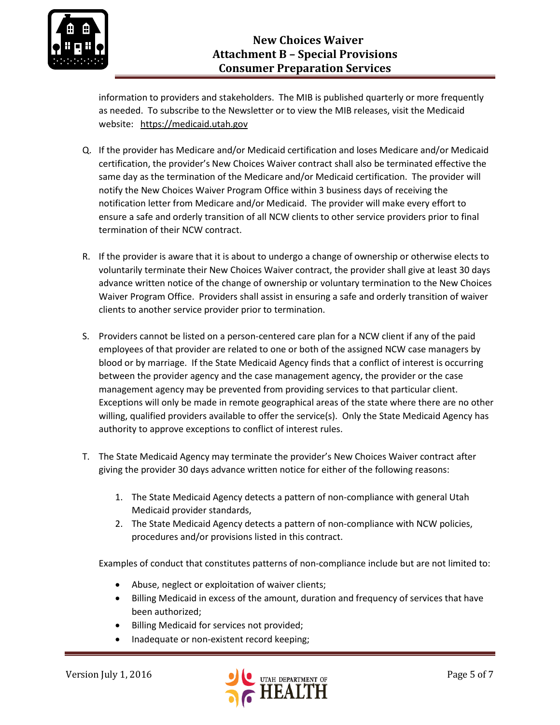

information to providers and stakeholders. The MIB is published quarterly or more frequently as needed. To subscribe to the Newsletter or to view the MIB releases, visit the Medicaid website: [https://medicaid.utah.gov](https://medicaid.utah.gov/)

- Q. If the provider has Medicare and/or Medicaid certification and loses Medicare and/or Medicaid certification, the provider's New Choices Waiver contract shall also be terminated effective the same day as the termination of the Medicare and/or Medicaid certification. The provider will notify the New Choices Waiver Program Office within 3 business days of receiving the notification letter from Medicare and/or Medicaid. The provider will make every effort to ensure a safe and orderly transition of all NCW clients to other service providers prior to final termination of their NCW contract.
- R. If the provider is aware that it is about to undergo a change of ownership or otherwise elects to voluntarily terminate their New Choices Waiver contract, the provider shall give at least 30 days advance written notice of the change of ownership or voluntary termination to the New Choices Waiver Program Office. Providers shall assist in ensuring a safe and orderly transition of waiver clients to another service provider prior to termination.
- S. Providers cannot be listed on a person-centered care plan for a NCW client if any of the paid employees of that provider are related to one or both of the assigned NCW case managers by blood or by marriage. If the State Medicaid Agency finds that a conflict of interest is occurring between the provider agency and the case management agency, the provider or the case management agency may be prevented from providing services to that particular client. Exceptions will only be made in remote geographical areas of the state where there are no other willing, qualified providers available to offer the service(s). Only the State Medicaid Agency has authority to approve exceptions to conflict of interest rules.
- T. The State Medicaid Agency may terminate the provider's New Choices Waiver contract after giving the provider 30 days advance written notice for either of the following reasons:
	- 1. The State Medicaid Agency detects a pattern of non-compliance with general Utah Medicaid provider standards,
	- 2. The State Medicaid Agency detects a pattern of non-compliance with NCW policies, procedures and/or provisions listed in this contract.

Examples of conduct that constitutes patterns of non-compliance include but are not limited to:

- Abuse, neglect or exploitation of waiver clients;
- Billing Medicaid in excess of the amount, duration and frequency of services that have been authorized;
- Billing Medicaid for services not provided;
- Inadequate or non-existent record keeping;

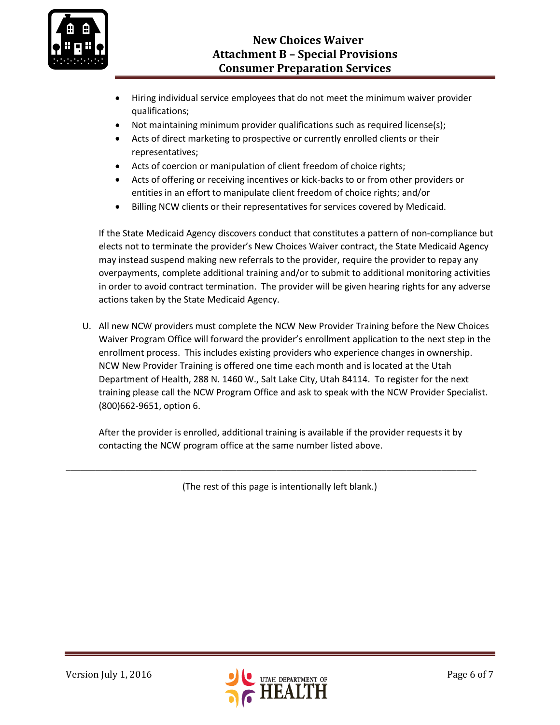

- Hiring individual service employees that do not meet the minimum waiver provider qualifications;
- Not maintaining minimum provider qualifications such as required license(s);
- Acts of direct marketing to prospective or currently enrolled clients or their representatives;
- Acts of coercion or manipulation of client freedom of choice rights;
- Acts of offering or receiving incentives or kick-backs to or from other providers or entities in an effort to manipulate client freedom of choice rights; and/or
- Billing NCW clients or their representatives for services covered by Medicaid.

If the State Medicaid Agency discovers conduct that constitutes a pattern of non-compliance but elects not to terminate the provider's New Choices Waiver contract, the State Medicaid Agency may instead suspend making new referrals to the provider, require the provider to repay any overpayments, complete additional training and/or to submit to additional monitoring activities in order to avoid contract termination. The provider will be given hearing rights for any adverse actions taken by the State Medicaid Agency.

U. All new NCW providers must complete the NCW New Provider Training before the New Choices Waiver Program Office will forward the provider's enrollment application to the next step in the enrollment process. This includes existing providers who experience changes in ownership. NCW New Provider Training is offered one time each month and is located at the Utah Department of Health, 288 N. 1460 W., Salt Lake City, Utah 84114. To register for the next training please call the NCW Program Office and ask to speak with the NCW Provider Specialist. (800)662-9651, option 6.

After the provider is enrolled, additional training is available if the provider requests it by contacting the NCW program office at the same number listed above.

(The rest of this page is intentionally left blank.)

\_\_\_\_\_\_\_\_\_\_\_\_\_\_\_\_\_\_\_\_\_\_\_\_\_\_\_\_\_\_\_\_\_\_\_\_\_\_\_\_\_\_\_\_\_\_\_\_\_\_\_\_\_\_\_\_\_\_\_\_\_\_\_\_\_\_\_\_\_\_\_\_\_\_\_\_\_\_\_\_\_\_